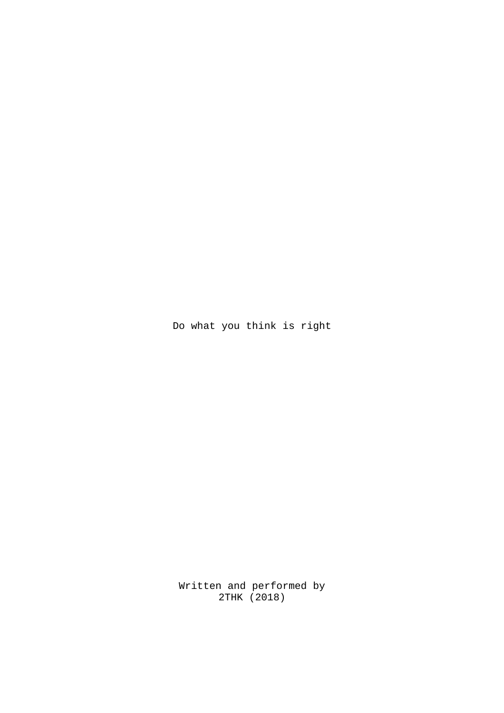Do what you think is right

Written and performed by 2THK (2018)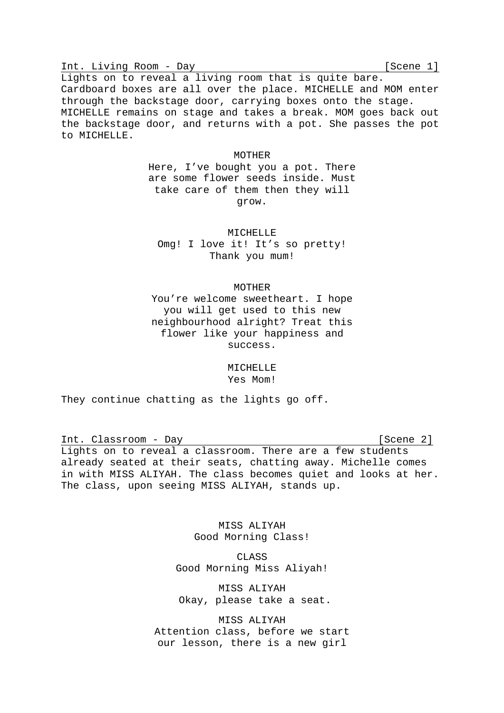Int. Living Room - Day [Scene 1]

Lights on to reveal a living room that is quite bare. Cardboard boxes are all over the place. MICHELLE and MOM enter through the backstage door, carrying boxes onto the stage. MICHELLE remains on stage and takes a break. MOM goes back out the backstage door, and returns with a pot. She passes the pot to MICHELLE.

#### MOTHER

Here, I've bought you a pot. There are some flower seeds inside. Must take care of them then they will grow.

MICHELLE Omg! I love it! It's so pretty! Thank you mum!

### MOTHER

You're welcome sweetheart. I hope you will get used to this new neighbourhood alright? Treat this flower like your happiness and success.

# MICHELLE Yes Mom!

They continue chatting as the lights go off.

Int. Classroom - Day [Scene 2]

Lights on to reveal a classroom. There are a few students already seated at their seats, chatting away. Michelle comes in with MISS ALIYAH. The class becomes quiet and looks at her. The class, upon seeing MISS ALIYAH, stands up.

> MISS ALIYAH Good Morning Class!

CLASS Good Morning Miss Aliyah!

MISS ALIYAH Okay, please take a seat.

MISS ALIYAH Attention class, before we start our lesson, there is a new girl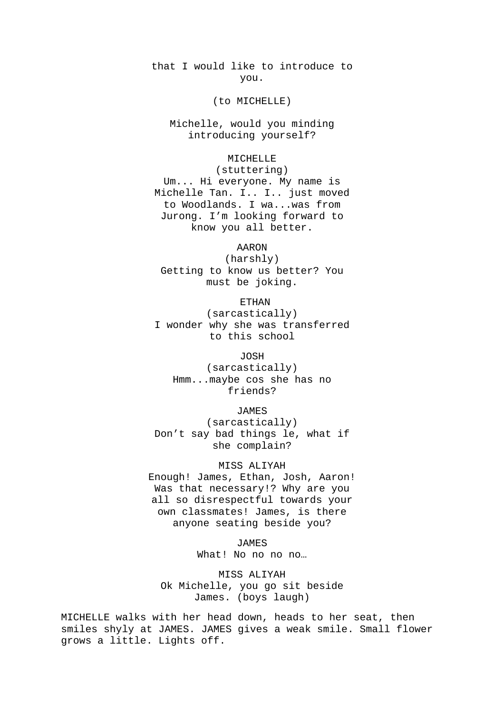that I would like to introduce to you.

(to MICHELLE)

Michelle, would you minding introducing yourself?

# MICHELLE

(stuttering) Um... Hi everyone. My name is Michelle Tan. I.. I.. just moved to Woodlands. I wa...was from Jurong. I'm looking forward to know you all better.

AARON

(harshly) Getting to know us better? You must be joking.

ETHAN

(sarcastically) I wonder why she was transferred to this school

JOSH (sarcastically) Hmm...maybe cos she has no friends?

JAMES

(sarcastically) Don't say bad things le, what if she complain?

MISS ALIYAH Enough! James, Ethan, Josh, Aaron! Was that necessary!? Why are you all so disrespectful towards your own classmates! James, is there anyone seating beside you?

> JAMES What! No no no no ...

MISS ALIYAH Ok Michelle, you go sit beside James. (boys laugh)

MICHELLE walks with her head down, heads to her seat, then smiles shyly at JAMES. JAMES gives a weak smile. Small flower grows a little. Lights off.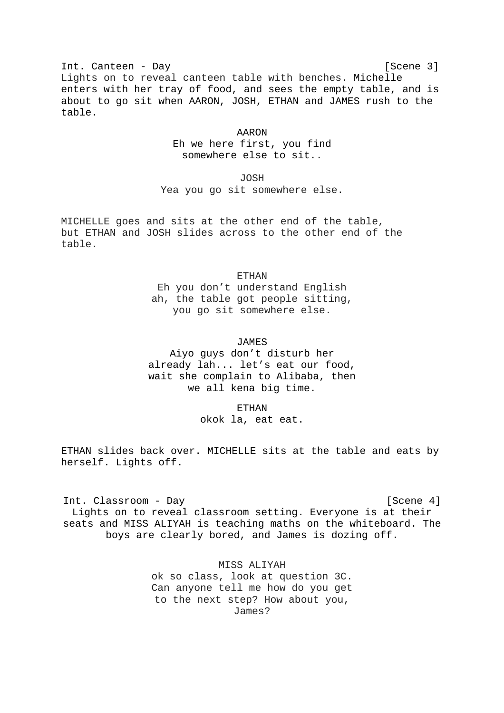Int. Canteen - Day [Scene 3]

Lights on to reveal canteen table with benches. Michelle enters with her tray of food, and sees the empty table, and is about to go sit when AARON, JOSH, ETHAN and JAMES rush to the table.

# AARON Eh we here first, you find

somewhere else to sit..

JOSH

Yea you go sit somewhere else.

MICHELLE goes and sits at the other end of the table, but ETHAN and JOSH slides across to the other end of the table.

# **ETHAN**

Eh you don't understand English ah, the table got people sitting, you go sit somewhere else.

# JAMES

Aiyo guys don't disturb her already lah... let's eat our food, wait she complain to Alibaba, then we all kena big time.

ETHAN

okok la, eat eat.

ETHAN slides back over. MICHELLE sits at the table and eats by herself. Lights off.

Int. Classroom - Day [Scene 4] Lights on to reveal classroom setting. Everyone is at their seats and MISS ALIYAH is teaching maths on the whiteboard. The boys are clearly bored, and James is dozing off.

> MISS ALIYAH ok so class, look at question 3C. Can anyone tell me how do you get to the next step? How about you, James?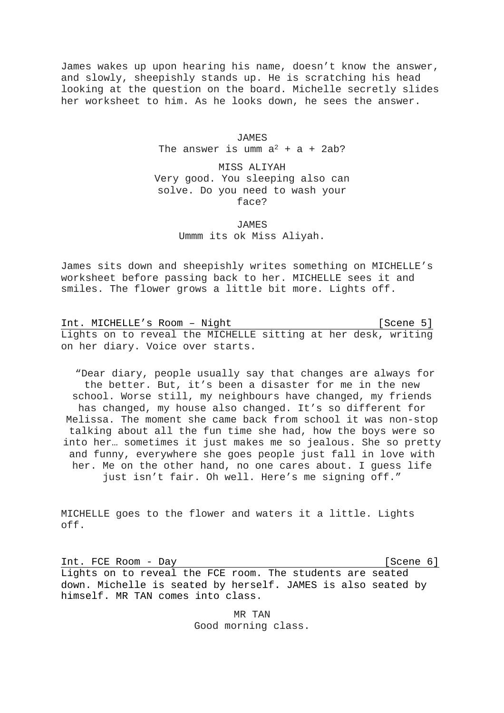James wakes up upon hearing his name, doesn't know the answer, and slowly, sheepishly stands up. He is scratching his head looking at the question on the board. Michelle secretly slides her worksheet to him. As he looks down, he sees the answer.

> JAMES The answer is umm  $a^2 + a + 2ab$ ?

MISS ALIYAH Very good. You sleeping also can solve. Do you need to wash your face?

> **JAMES** Ummm its ok Miss Aliyah.

James sits down and sheepishly writes something on MICHELLE's worksheet before passing back to her. MICHELLE sees it and smiles. The flower grows a little bit more. Lights off.

Int. MICHELLE's Room - Night [Scene 5] Lights on to reveal the MICHELLE sitting at her desk, writing on her diary. Voice over starts.

"Dear diary, people usually say that changes are always for the better. But, it's been a disaster for me in the new school. Worse still, my neighbours have changed, my friends has changed, my house also changed. It's so different for Melissa. The moment she came back from school it was non-stop talking about all the fun time she had, how the boys were so into her… sometimes it just makes me so jealous. She so pretty and funny, everywhere she goes people just fall in love with her. Me on the other hand, no one cares about. I guess life just isn't fair. Oh well. Here's me signing off."

MICHELLE goes to the flower and waters it a little. Lights off.

Int. FCE Room - Day [Scene 6] Lights on to reveal the FCE room. The students are seated down. Michelle is seated by herself. JAMES is also seated by himself. MR TAN comes into class.

> MR TAN Good morning class.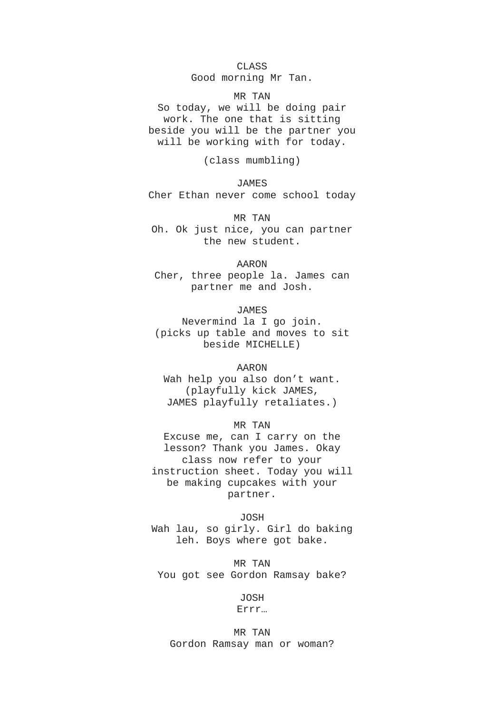CLASS

Good morning Mr Tan.

MR TAN

So today, we will be doing pair work. The one that is sitting beside you will be the partner you will be working with for today.

(class mumbling)

**JAMES** Cher Ethan never come school today

MR TAN Oh. Ok just nice, you can partner the new student.

AARON

Cher, three people la. James can partner me and Josh.

JAMES

Nevermind la I go join. (picks up table and moves to sit beside MICHELLE)

AARON

Wah help you also don't want. (playfully kick JAMES, JAMES playfully retaliates.)

MR TAN

Excuse me, can I carry on the lesson? Thank you James. Okay class now refer to your instruction sheet. Today you will be making cupcakes with your partner.

JOSH Wah lau, so girly. Girl do baking leh. Boys where got bake.

MR TAN You got see Gordon Ramsay bake?

> JOSH Errr…

MR TAN Gordon Ramsay man or woman?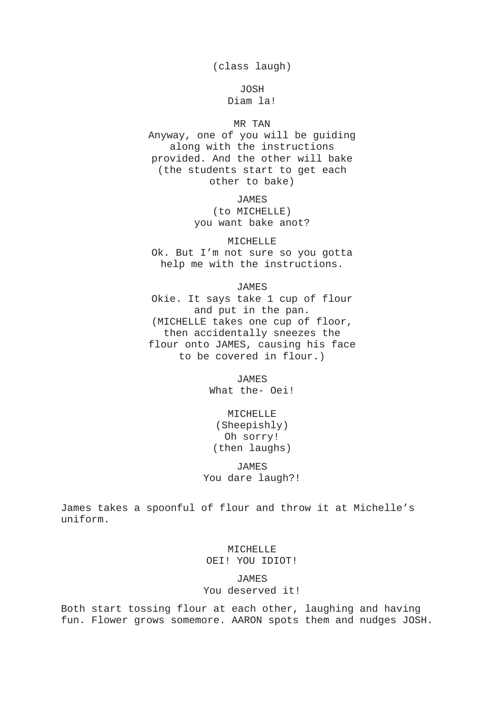(class laugh)

JOSH Diam la!

# MR TAN

Anyway, one of you will be guiding along with the instructions provided. And the other will bake (the students start to get each other to bake)

> JAMES (to MICHELLE) you want bake anot?

MICHELLE Ok. But I'm not sure so you gotta help me with the instructions.

JAMES

Okie. It says take 1 cup of flour and put in the pan. (MICHELLE takes one cup of floor, then accidentally sneezes the flour onto JAMES, causing his face to be covered in flour.)

> JAMES What the- Oei!

MICHELLE (Sheepishly) Oh sorry! (then laughs)

JAMES You dare laugh?!

James takes a spoonful of flour and throw it at Michelle's uniform.

> MICHELLE OEI! YOU IDIOT!

JAMES You deserved it!

Both start tossing flour at each other, laughing and having fun. Flower grows somemore. AARON spots them and nudges JOSH.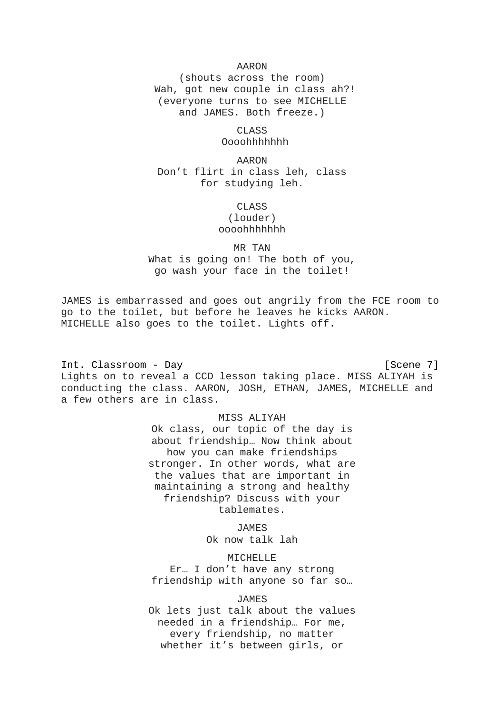# AARON

(shouts across the room) Wah, got new couple in class ah?! (everyone turns to see MICHELLE and JAMES. Both freeze.)

> CLASS Oooohhhhhhh

AARON Don't flirt in class leh, class for studying leh.

# **CLASS** (louder) oooohhhhhhh

MR TAN

What is going on! The both of you, go wash your face in the toilet!

JAMES is embarrassed and goes out angrily from the FCE room to go to the toilet, but before he leaves he kicks AARON. MICHELLE also goes to the toilet. Lights off.

Int. Classroom - Day [Scene 7] Lights on to reveal a CCD lesson taking place. MISS ALIYAH is conducting the class. AARON, JOSH, ETHAN, JAMES, MICHELLE and a few others are in class.

# MISS ALIYAH

Ok class, our topic of the day is about friendship… Now think about how you can make friendships stronger. In other words, what are the values that are important in maintaining a strong and healthy friendship? Discuss with your tablemates.

JAMES

Ok now talk lah

MICHELLE

Er… I don't have any strong friendship with anyone so far so…

# JAMES

Ok lets just talk about the values needed in a friendship… For me, every friendship, no matter whether it's between girls, or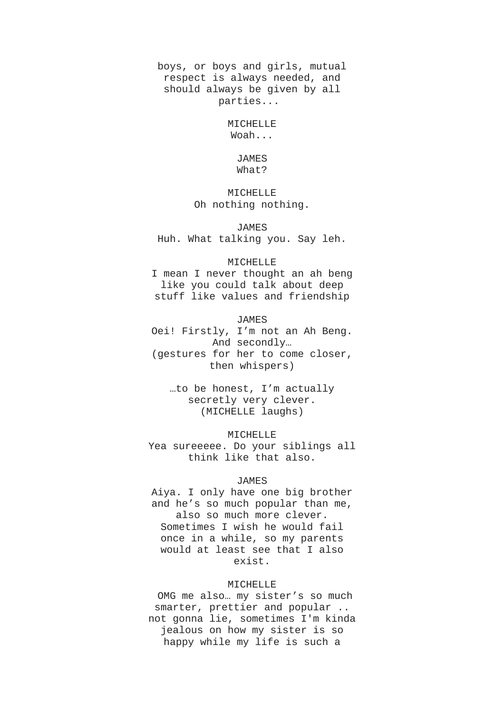boys, or boys and girls, mutual respect is always needed, and should always be given by all parties...

> MICHELLE Woah...

# JAMES What?

# MICHELLE Oh nothing nothing.

JAMES

Huh. What talking you. Say leh.

#### MICHELLE

I mean I never thought an ah beng like you could talk about deep stuff like values and friendship

JAMES

Oei! Firstly, I'm not an Ah Beng. And secondly… (gestures for her to come closer, then whispers)

…to be honest, I'm actually secretly very clever. (MICHELLE laughs)

MICHELLE Yea sureeeee. Do your siblings all think like that also.

# **JAMES**

Aiya. I only have one big brother and he's so much popular than me, also so much more clever. Sometimes I wish he would fail once in a while, so my parents would at least see that I also exist.

#### MICHELLE

OMG me also… my sister's so much smarter, prettier and popular .. not gonna lie, sometimes I'm kinda jealous on how my sister is so happy while my life is such a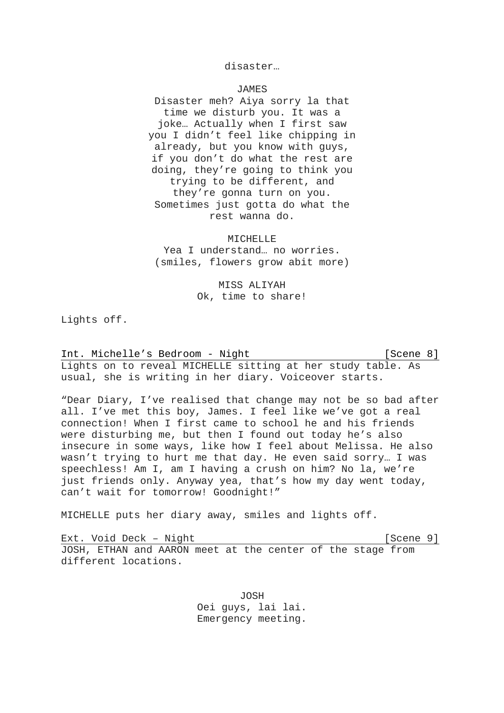# disaster…

# JAMES

Disaster meh? Aiya sorry la that time we disturb you. It was a joke… Actually when I first saw you I didn't feel like chipping in already, but you know with guys, if you don't do what the rest are doing, they're going to think you trying to be different, and they're gonna turn on you. Sometimes just gotta do what the rest wanna do.

### MICHELLE

Yea I understand… no worries. (smiles, flowers grow abit more)

# MISS ALIYAH Ok, time to share!

Lights off.

Int. Michelle's Bedroom - Night [Scene 8] Lights on to reveal MICHELLE sitting at her study table. As usual, she is writing in her diary. Voiceover starts.

"Dear Diary, I've realised that change may not be so bad after all. I've met this boy, James. I feel like we've got a real connection! When I first came to school he and his friends were disturbing me, but then I found out today he's also insecure in some ways, like how I feel about Melissa. He also wasn't trying to hurt me that day. He even said sorry… I was speechless! Am I, am I having a crush on him? No la, we're just friends only. Anyway yea, that's how my day went today, can't wait for tomorrow! Goodnight!"

MICHELLE puts her diary away, smiles and lights off.

Ext. Void Deck - Night [Scene 9] JOSH, ETHAN and AARON meet at the center of the stage from different locations.

> JOSH Oei guys, lai lai. Emergency meeting.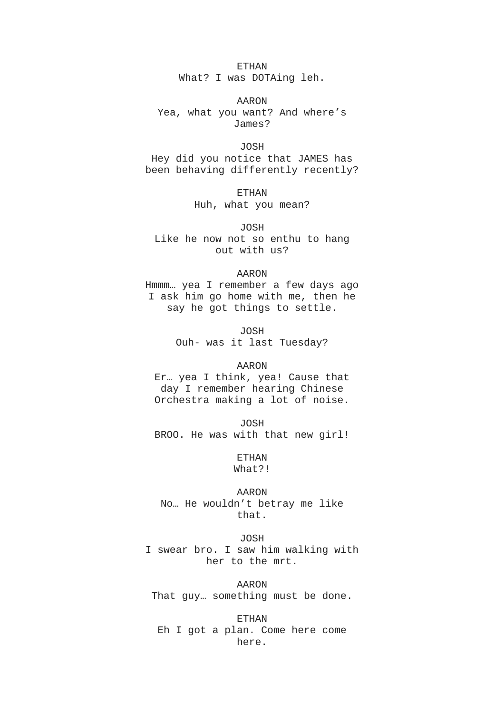#### ETHAN

What? I was DOTAing leh.

AARON

Yea, what you want? And where's James?

JOSH

Hey did you notice that JAMES has been behaving differently recently?

> ETHAN Huh, what you mean?

JOSH Like he now not so enthu to hang out with us?

### AARON

Hmmm… yea I remember a few days ago I ask him go home with me, then he say he got things to settle.

> JOSH Ouh- was it last Tuesday?

#### AARON

Er… yea I think, yea! Cause that day I remember hearing Chinese Orchestra making a lot of noise.

JOSH BROO. He was with that new girl!

> ETHAN What?!

AARON No… He wouldn't betray me like that.

#### JOSH

I swear bro. I saw him walking with her to the mrt.

AARON

That guy… something must be done.

ETHAN Eh I got a plan. Come here come here.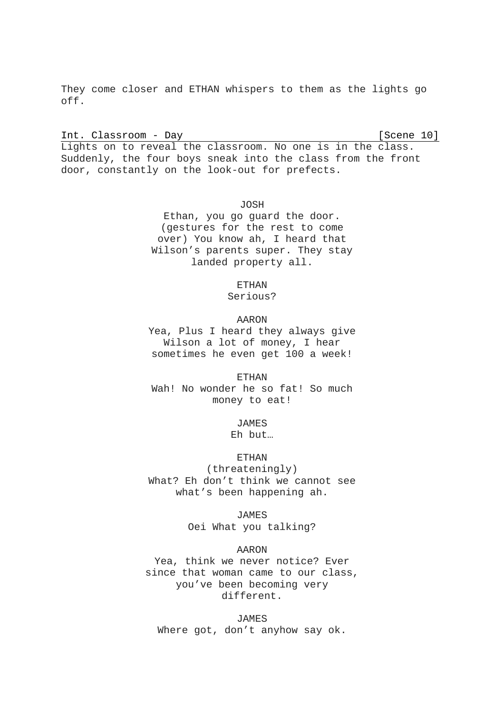They come closer and ETHAN whispers to them as the lights go off.

Int. Classroom - Day [Scene 10]

Lights on to reveal the classroom. No one is in the class. Suddenly, the four boys sneak into the class from the front door, constantly on the look-out for prefects.

> JOSH Ethan, you go guard the door. (gestures for the rest to come over) You know ah, I heard that Wilson's parents super. They stay landed property all.

> > ETHAN

Serious?

AARON

Yea, Plus I heard they always give Wilson a lot of money, I hear sometimes he even get 100 a week!

ETHAN Wah! No wonder he so fat! So much money to eat!

> **JAMES** Eh but…

> > ETHAN

(threateningly) What? Eh don't think we cannot see what's been happening ah.

> JAMES Oei What you talking?

> > AARON

Yea, think we never notice? Ever since that woman came to our class, you've been becoming very different.

JAMES Where got, don't anyhow say ok.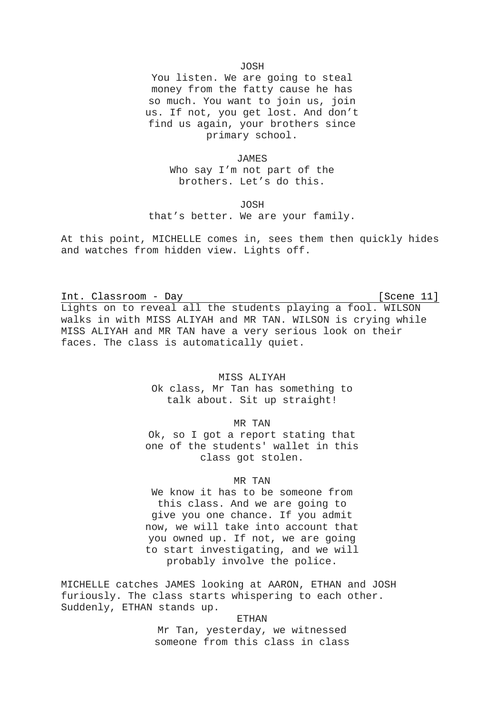#### JOSH

You listen. We are going to steal money from the fatty cause he has so much. You want to join us, join us. If not, you get lost. And don't find us again, your brothers since primary school.

JAMES

Who say I'm not part of the brothers. Let's do this.

JOSH

that's better. We are your family.

At this point, MICHELLE comes in, sees them then quickly hides and watches from hidden view. Lights off.

Int. Classroom - Day [Scene 11] Lights on to reveal all the students playing a fool. WILSON walks in with MISS ALIYAH and MR TAN. WILSON is crying while MISS ALIYAH and MR TAN have a very serious look on their faces. The class is automatically quiet.

# MISS ALIYAH

Ok class, Mr Tan has something to talk about. Sit up straight!

# MR TAN

Ok, so I got a report stating that one of the students' wallet in this class got stolen.

# MR TAN

We know it has to be someone from this class. And we are going to give you one chance. If you admit now, we will take into account that you owned up. If not, we are going to start investigating, and we will probably involve the police.

MICHELLE catches JAMES looking at AARON, ETHAN and JOSH furiously. The class starts whispering to each other. Suddenly, ETHAN stands up.

#### ETHAN

Mr Tan, yesterday, we witnessed someone from this class in class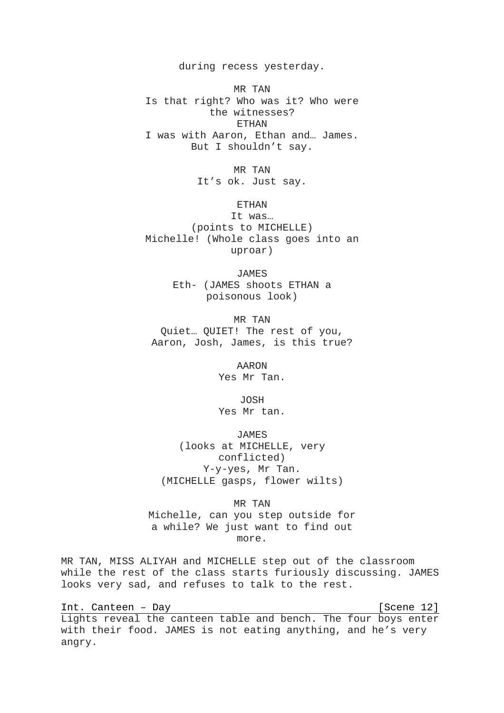during recess yesterday.

MR TAN Is that right? Who was it? Who were the witnesses? ETHAN I was with Aaron, Ethan and… James. But I shouldn't say.

> MR TAN It's ok. Just say.

> > ETHAN

It was… (points to MICHELLE) Michelle! (Whole class goes into an uproar)

> JAMES Eth- (JAMES shoots ETHAN a poisonous look)

MR TAN Quiet… QUIET! The rest of you, Aaron, Josh, James, is this true?

> AARON Yes Mr Tan.

JOSH Yes Mr tan.

JAMES (looks at MICHELLE, very conflicted) Y-y-yes, Mr Tan. (MICHELLE gasps, flower wilts)

MR TAN

Michelle, can you step outside for a while? We just want to find out more.

MR TAN, MISS ALIYAH and MICHELLE step out of the classroom while the rest of the class starts furiously discussing. JAMES looks very sad, and refuses to talk to the rest.

Int. Canteen – Day [Scene 12] Lights reveal the canteen table and bench. The four boys enter with their food. JAMES is not eating anything, and he's very angry.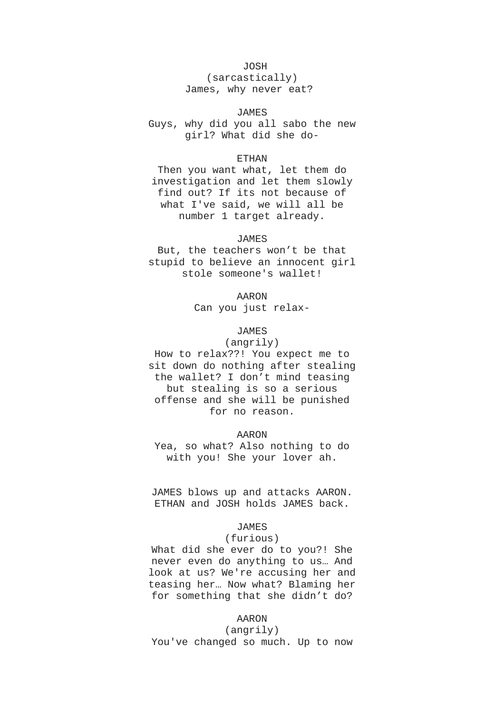# JOSH

(sarcastically) James, why never eat?

#### JAMES

Guys, why did you all sabo the new girl? What did she do-

### ETHAN

Then you want what, let them do investigation and let them slowly find out? If its not because of what I've said, we will all be number 1 target already.

# JAMES

But, the teachers won't be that stupid to believe an innocent girl stole someone's wallet!

> AARON Can you just relax-

# JAMES

(angrily) How to relax??! You expect me to sit down do nothing after stealing the wallet? I don't mind teasing but stealing is so a serious offense and she will be punished for no reason.

### AARON

Yea, so what? Also nothing to do with you! She your lover ah.

JAMES blows up and attacks AARON. ETHAN and JOSH holds JAMES back.

# JAMES

#### (furious)

What did she ever do to you?! She never even do anything to us… And look at us? We're accusing her and teasing her… Now what? Blaming her for something that she didn't do?

# AARON

(angrily) You've changed so much. Up to now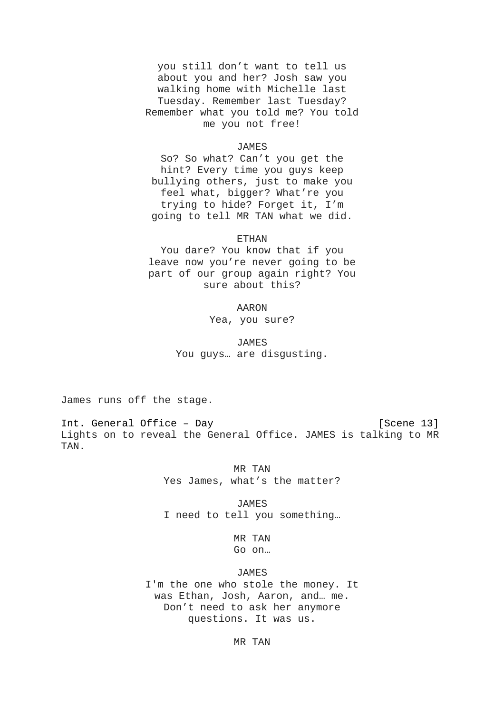you still don't want to tell us about you and her? Josh saw you walking home with Michelle last Tuesday. Remember last Tuesday? Remember what you told me? You told me you not free!

#### JAMES

So? So what? Can't you get the hint? Every time you guys keep bullying others, just to make you feel what, bigger? What're you trying to hide? Forget it, I'm going to tell MR TAN what we did.

#### ETHAN

You dare? You know that if you leave now you're never going to be part of our group again right? You sure about this?

#### AARON

Yea, you sure?

JAMES You guys… are disgusting.

James runs off the stage.

Int. General Office – Day [Scene 13] Lights on to reveal the General Office. JAMES is talking to MR TAN.

> MR TAN Yes James, what's the matter?

> JAMES I need to tell you something…

> > MR TAN Go on…

**JAMES** 

I'm the one who stole the money. It was Ethan, Josh, Aaron, and… me. Don't need to ask her anymore questions. It was us.

MR TAN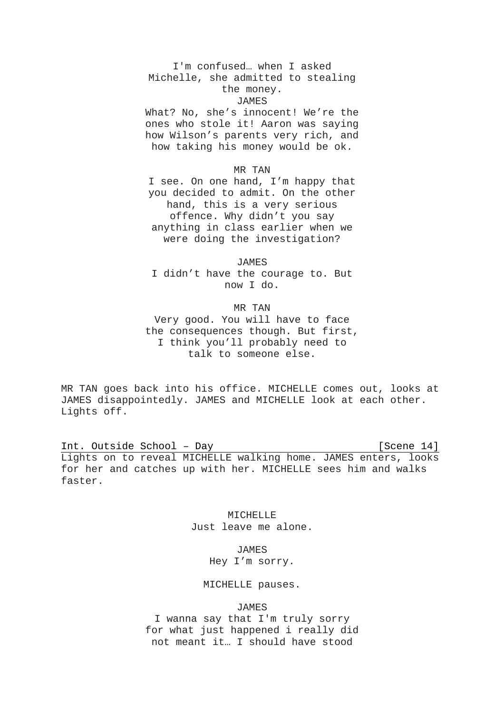# I'm confused… when I asked Michelle, she admitted to stealing the money.

#### JAMES

What? No, she's innocent! We're the ones who stole it! Aaron was saying how Wilson's parents very rich, and how taking his money would be ok.

# MR TAN

I see. On one hand, I'm happy that you decided to admit. On the other hand, this is a very serious offence. Why didn't you say anything in class earlier when we were doing the investigation?

JAMES I didn't have the courage to. But now I do.

#### MR TAN

Very good. You will have to face the consequences though. But first, I think you'll probably need to talk to someone else.

MR TAN goes back into his office. MICHELLE comes out, looks at JAMES disappointedly. JAMES and MICHELLE look at each other. Lights off.

Int. Outside School - Day [Scene 14] Lights on to reveal MICHELLE walking home. JAMES enters, looks for her and catches up with her. MICHELLE sees him and walks faster.

> MICHELLE Just leave me alone.

> > JAMES Hey I'm sorry.

# MICHELLE pauses.

### JAMES

I wanna say that I'm truly sorry for what just happened i really did not meant it… I should have stood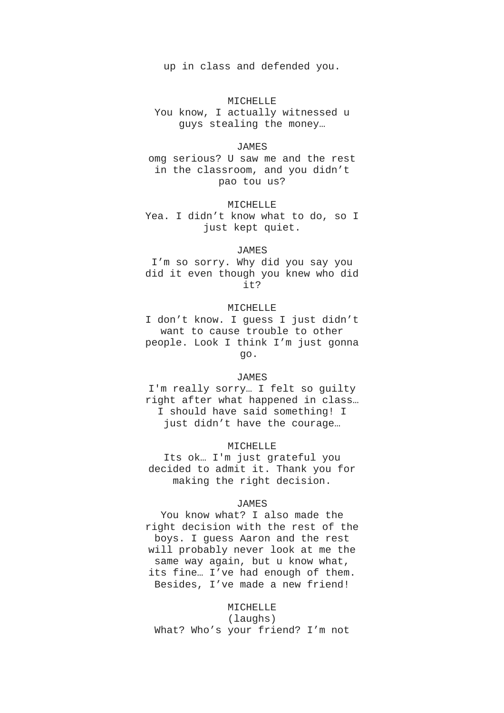up in class and defended you.

### MICHELLE

You know, I actually witnessed u guys stealing the money…

#### JAMES

omg serious? U saw me and the rest in the classroom, and you didn't pao tou us?

#### MICHELLE

Yea. I didn't know what to do, so I just kept quiet.

# JAMES

I'm so sorry. Why did you say you did it even though you knew who did it?

#### MICHELLE

I don't know. I guess I just didn't want to cause trouble to other people. Look I think I'm just gonna go.

### JAMES

I'm really sorry… I felt so guilty right after what happened in class… I should have said something! I just didn't have the courage…

#### MICHELLE

Its ok… I'm just grateful you decided to admit it. Thank you for making the right decision.

# JAMES

You know what? I also made the right decision with the rest of the boys. I guess Aaron and the rest will probably never look at me the same way again, but u know what, its fine… I've had enough of them. Besides, I've made a new friend!

#### MICHELLE

(laughs) What? Who's your friend? I'm not